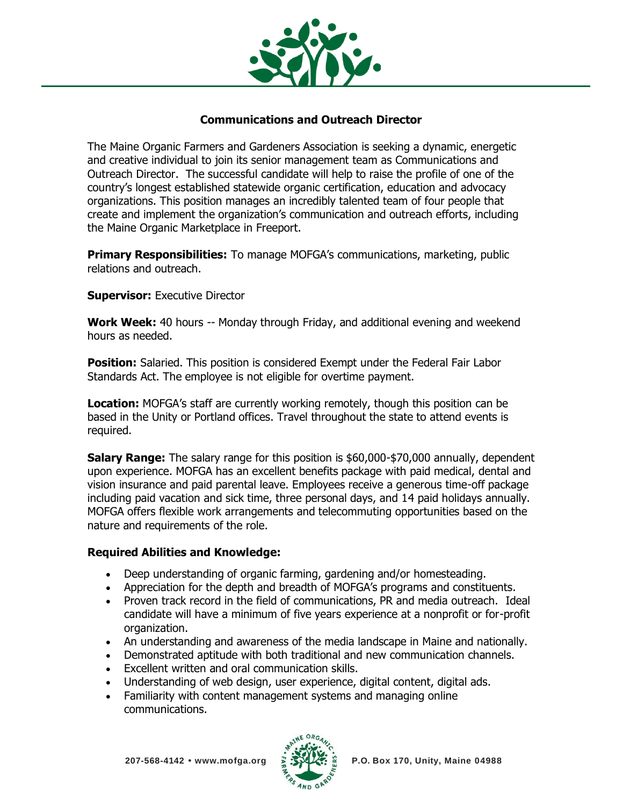

## **Communications and Outreach Director**

The Maine Organic Farmers and Gardeners Association is seeking a dynamic, energetic and creative individual to join its senior management team as Communications and Outreach Director. The successful candidate will help to raise the profile of one of the country's longest established statewide organic certification, education and advocacy organizations. This position manages an incredibly talented team of four people that create and implement the organization's communication and outreach efforts, including the Maine Organic Marketplace in Freeport.

**Primary Responsibilities:** To manage MOFGA's communications, marketing, public relations and outreach.

## **Supervisor:** Executive Director

**Work Week:** 40 hours -- Monday through Friday, and additional evening and weekend hours as needed.

**Position:** Salaried. This position is considered Exempt under the Federal Fair Labor Standards Act. The employee is not eligible for overtime payment.

**Location:** MOFGA's staff are currently working remotely, though this position can be based in the Unity or Portland offices. Travel throughout the state to attend events is required.

**Salary Range:** The salary range for this position is \$60,000-\$70,000 annually, dependent upon experience. MOFGA has an excellent benefits package with paid medical, dental and vision insurance and paid parental leave. Employees receive a generous time-off package including paid vacation and sick time, three personal days, and 14 paid holidays annually. MOFGA offers flexible work arrangements and telecommuting opportunities based on the nature and requirements of the role.

## **Required Abilities and Knowledge:**

- Deep understanding of organic farming, gardening and/or homesteading.
- Appreciation for the depth and breadth of MOFGA's programs and constituents.
- Proven track record in the field of communications, PR and media outreach. Ideal candidate will have a minimum of five years experience at a nonprofit or for-profit organization.
- An understanding and awareness of the media landscape in Maine and nationally.
- Demonstrated aptitude with both traditional and new communication channels.
- Excellent written and oral communication skills.
- Understanding of web design, user experience, digital content, digital ads.
- Familiarity with content management systems and managing online communications.

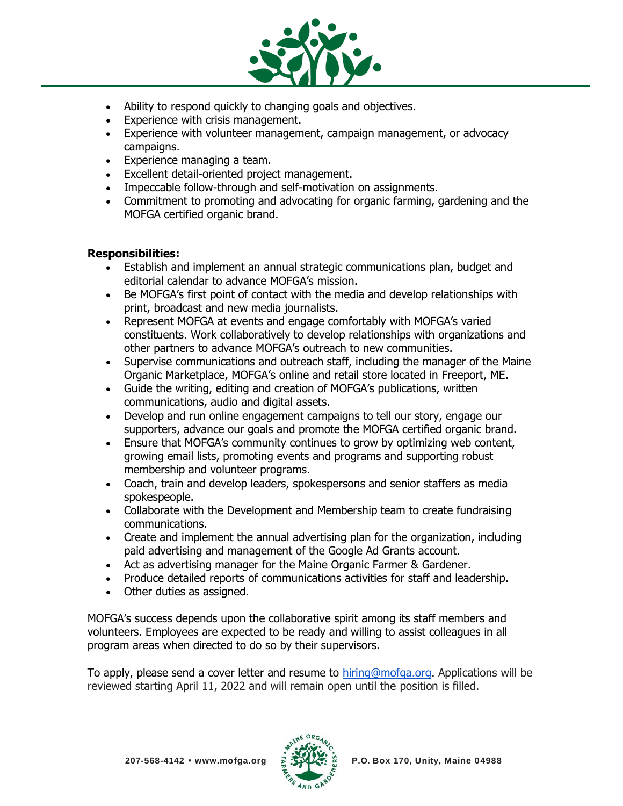

- Ability to respond quickly to changing goals and objectives.
- Experience with crisis management.
- Experience with volunteer management, campaign management, or advocacy campaigns.
- Experience managing a team.
- Excellent detail-oriented project management.
- Impeccable follow-through and self-motivation on assignments.
- Commitment to promoting and advocating for organic farming, gardening and the MOFGA certified organic brand.

## **Responsibilities:**

- Establish and implement an annual strategic communications plan, budget and editorial calendar to advance MOFGA's mission.
- Be MOFGA's first point of contact with the media and develop relationships with print, broadcast and new media journalists.
- Represent MOFGA at events and engage comfortably with MOFGA's varied constituents. Work collaboratively to develop relationships with organizations and other partners to advance MOFGA's outreach to new communities.
- Supervise communications and outreach staff, including the manager of the Maine Organic Marketplace, MOFGA's online and retail store located in Freeport, ME.
- Guide the writing, editing and creation of MOFGA's publications, written communications, audio and digital assets.
- Develop and run online engagement campaigns to tell our story, engage our supporters, advance our goals and promote the MOFGA certified organic brand.
- Ensure that MOFGA's community continues to grow by optimizing web content, growing email lists, promoting events and programs and supporting robust membership and volunteer programs.
- Coach, train and develop leaders, spokespersons and senior staffers as media spokespeople.
- Collaborate with the Development and Membership team to create fundraising communications.
- Create and implement the annual advertising plan for the organization, including paid advertising and management of the Google Ad Grants account.
- Act as advertising manager for the Maine Organic Farmer & Gardener.
- Produce detailed reports of communications activities for staff and leadership.
- Other duties as assigned.

MOFGA's success depends upon the collaborative spirit among its staff members and volunteers. Employees are expected to be ready and willing to assist colleagues in all program areas when directed to do so by their supervisors.

To apply, please send a cover letter and resume to [hiring@mofga.org.](mailto:hiring@mofga.org) Applications will be reviewed starting April 11, 2022 and will remain open until the position is filled.

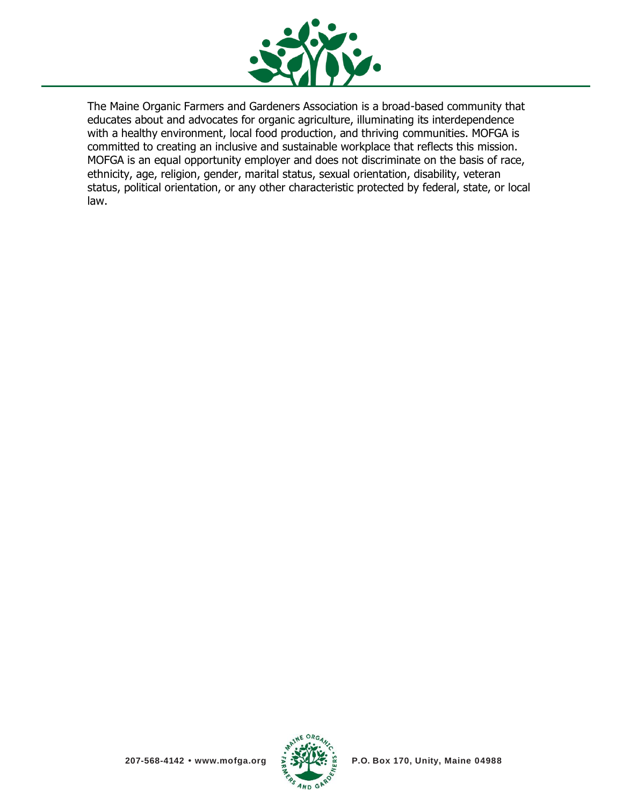

The Maine Organic Farmers and Gardeners Association is a broad-based community that educates about and advocates for organic agriculture, illuminating its interdependence with a healthy environment, local food production, and thriving communities. MOFGA is committed to creating an inclusive and sustainable workplace that reflects this mission. MOFGA is an equal opportunity employer and does not discriminate on the basis of race, ethnicity, age, religion, gender, marital status, sexual orientation, disability, veteran status, political orientation, or any other characteristic protected by federal, state, or local law.